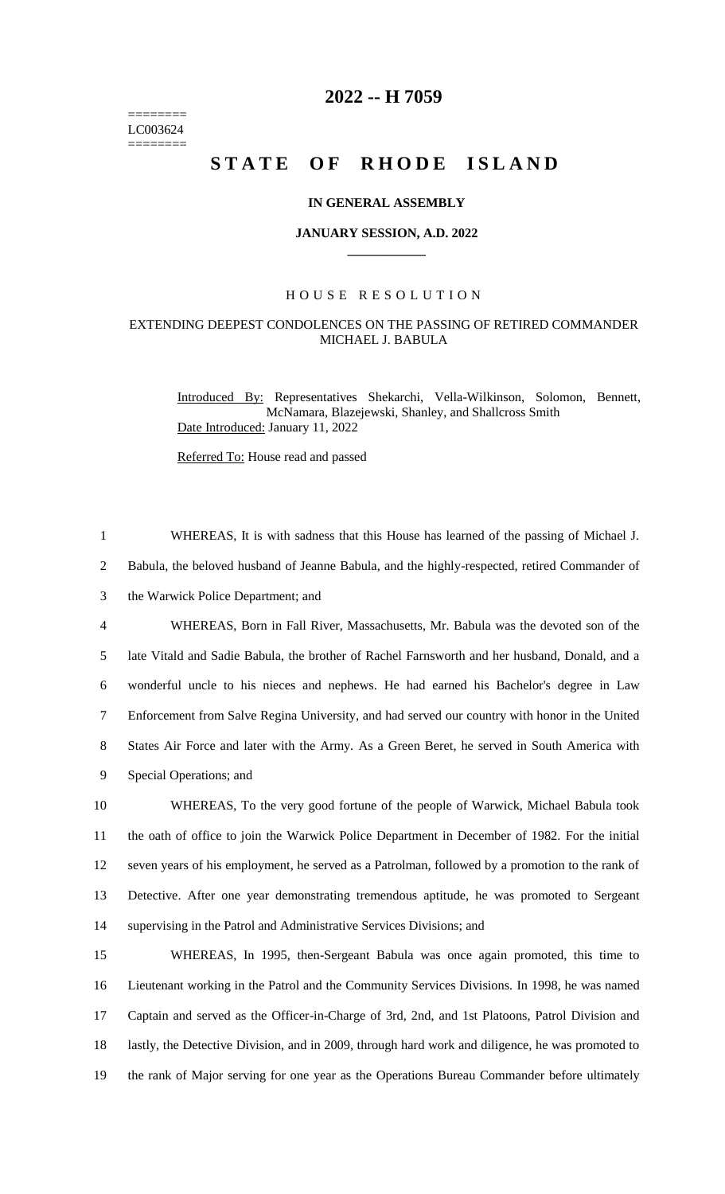======== LC003624 ========

# **2022 -- H 7059**

# **STATE OF RHODE ISLAND**

#### **IN GENERAL ASSEMBLY**

#### **JANUARY SESSION, A.D. 2022 \_\_\_\_\_\_\_\_\_\_\_\_**

### H O U S E R E S O L U T I O N

## EXTENDING DEEPEST CONDOLENCES ON THE PASSING OF RETIRED COMMANDER MICHAEL J. BABULA

1 WHEREAS, It is with sadness that this House has learned of the passing of Michael J.

Introduced By: Representatives Shekarchi, Vella-Wilkinson, Solomon, Bennett, McNamara, Blazejewski, Shanley, and Shallcross Smith Date Introduced: January 11, 2022

Referred To: House read and passed

 Babula, the beloved husband of Jeanne Babula, and the highly-respected, retired Commander of the Warwick Police Department; and WHEREAS, Born in Fall River, Massachusetts, Mr. Babula was the devoted son of the late Vitald and Sadie Babula, the brother of Rachel Farnsworth and her husband, Donald, and a wonderful uncle to his nieces and nephews. He had earned his Bachelor's degree in Law Enforcement from Salve Regina University, and had served our country with honor in the United States Air Force and later with the Army. As a Green Beret, he served in South America with Special Operations; and WHEREAS, To the very good fortune of the people of Warwick, Michael Babula took the oath of office to join the Warwick Police Department in December of 1982. For the initial seven years of his employment, he served as a Patrolman, followed by a promotion to the rank of Detective. After one year demonstrating tremendous aptitude, he was promoted to Sergeant supervising in the Patrol and Administrative Services Divisions; and WHEREAS, In 1995, then-Sergeant Babula was once again promoted, this time to Lieutenant working in the Patrol and the Community Services Divisions. In 1998, he was named Captain and served as the Officer-in-Charge of 3rd, 2nd, and 1st Platoons, Patrol Division and 18 lastly, the Detective Division, and in 2009, through hard work and diligence, he was promoted to the rank of Major serving for one year as the Operations Bureau Commander before ultimately